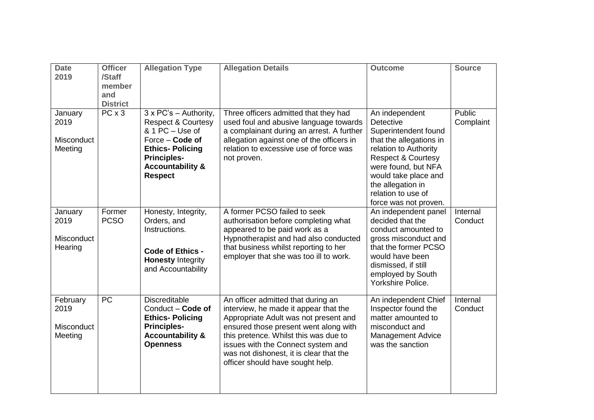| <b>Date</b><br>2019                       | <b>Officer</b><br>/Staff<br>member<br>and<br><b>District</b> | <b>Allegation Type</b>                                                                                                                                                                                | <b>Allegation Details</b>                                                                                                                                                                                                                                                                                                   | <b>Outcome</b>                                                                                                                                                                                                                                                     | <b>Source</b>       |
|-------------------------------------------|--------------------------------------------------------------|-------------------------------------------------------------------------------------------------------------------------------------------------------------------------------------------------------|-----------------------------------------------------------------------------------------------------------------------------------------------------------------------------------------------------------------------------------------------------------------------------------------------------------------------------|--------------------------------------------------------------------------------------------------------------------------------------------------------------------------------------------------------------------------------------------------------------------|---------------------|
| January<br>2019<br>Misconduct<br>Meeting  | $\overline{PC}$ x 3                                          | $3 \times PC's - Authority$ ,<br><b>Respect &amp; Courtesy</b><br>& 1 PC - Use of<br>Force – Code of<br><b>Ethics-Policing</b><br><b>Principles-</b><br><b>Accountability &amp;</b><br><b>Respect</b> | Three officers admitted that they had<br>used foul and abusive language towards<br>a complainant during an arrest. A further<br>allegation against one of the officers in<br>relation to excessive use of force was<br>not proven.                                                                                          | An independent<br><b>Detective</b><br>Superintendent found<br>that the allegations in<br>relation to Authority<br><b>Respect &amp; Courtesy</b><br>were found, but NFA<br>would take place and<br>the allegation in<br>relation to use of<br>force was not proven. | Public<br>Complaint |
| January<br>2019<br>Misconduct<br>Hearing  | Former<br><b>PCSO</b>                                        | Honesty, Integrity,<br>Orders, and<br>Instructions.<br>Code of Ethics -<br><b>Honesty Integrity</b><br>and Accountability                                                                             | A former PCSO failed to seek<br>authorisation before completing what<br>appeared to be paid work as a<br>Hypnotherapist and had also conducted<br>that business whilst reporting to her<br>employer that she was too ill to work.                                                                                           | An independent panel<br>decided that the<br>conduct amounted to<br>gross misconduct and<br>that the former PCSO<br>would have been<br>dismissed, if still<br>employed by South<br>Yorkshire Police.                                                                | Internal<br>Conduct |
| February<br>2019<br>Misconduct<br>Meeting | <b>PC</b>                                                    | <b>Discreditable</b><br>Conduct - Code of<br><b>Ethics-Policing</b><br><b>Principles-</b><br><b>Accountability &amp;</b><br><b>Openness</b>                                                           | An officer admitted that during an<br>interview, he made it appear that the<br>Appropriate Adult was not present and<br>ensured those present went along with<br>this pretence. Whilst this was due to<br>issues with the Connect system and<br>was not dishonest, it is clear that the<br>officer should have sought help. | An independent Chief<br>Inspector found the<br>matter amounted to<br>misconduct and<br><b>Management Advice</b><br>was the sanction                                                                                                                                | Internal<br>Conduct |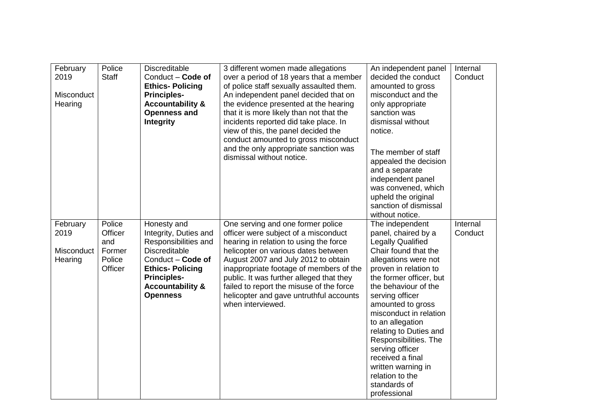| February<br>2019<br>Misconduct<br>Hearing | Police<br><b>Staff</b>                                  | <b>Discreditable</b><br>Conduct - Code of<br><b>Ethics-Policing</b><br><b>Principles-</b><br><b>Accountability &amp;</b><br><b>Openness and</b><br><b>Integrity</b>                                         | 3 different women made allegations<br>over a period of 18 years that a member<br>of police staff sexually assaulted them.<br>An independent panel decided that on<br>the evidence presented at the hearing<br>that it is more likely than not that the<br>incidents reported did take place. In<br>view of this, the panel decided the<br>conduct amounted to gross misconduct<br>and the only appropriate sanction was<br>dismissal without notice. | An independent panel<br>decided the conduct<br>amounted to gross<br>misconduct and the<br>only appropriate<br>sanction was<br>dismissal without<br>notice.<br>The member of staff<br>appealed the decision<br>and a separate<br>independent panel<br>was convened, which<br>upheld the original<br>sanction of dismissal<br>without notice.                                                                                                             | Internal<br>Conduct |
|-------------------------------------------|---------------------------------------------------------|-------------------------------------------------------------------------------------------------------------------------------------------------------------------------------------------------------------|------------------------------------------------------------------------------------------------------------------------------------------------------------------------------------------------------------------------------------------------------------------------------------------------------------------------------------------------------------------------------------------------------------------------------------------------------|---------------------------------------------------------------------------------------------------------------------------------------------------------------------------------------------------------------------------------------------------------------------------------------------------------------------------------------------------------------------------------------------------------------------------------------------------------|---------------------|
| February<br>2019<br>Misconduct<br>Hearing | Police<br>Officer<br>and<br>Former<br>Police<br>Officer | Honesty and<br>Integrity, Duties and<br>Responsibilities and<br><b>Discreditable</b><br>Conduct - Code of<br><b>Ethics-Policing</b><br><b>Principles-</b><br><b>Accountability &amp;</b><br><b>Openness</b> | One serving and one former police<br>officer were subject of a misconduct<br>hearing in relation to using the force<br>helicopter on various dates between<br>August 2007 and July 2012 to obtain<br>inappropriate footage of members of the<br>public. It was further alleged that they<br>failed to report the misuse of the force<br>helicopter and gave untruthful accounts<br>when interviewed.                                                 | The independent<br>panel, chaired by a<br><b>Legally Qualified</b><br>Chair found that the<br>allegations were not<br>proven in relation to<br>the former officer, but<br>the behaviour of the<br>serving officer<br>amounted to gross<br>misconduct in relation<br>to an allegation<br>relating to Duties and<br>Responsibilities. The<br>serving officer<br>received a final<br>written warning in<br>relation to the<br>standards of<br>professional | Internal<br>Conduct |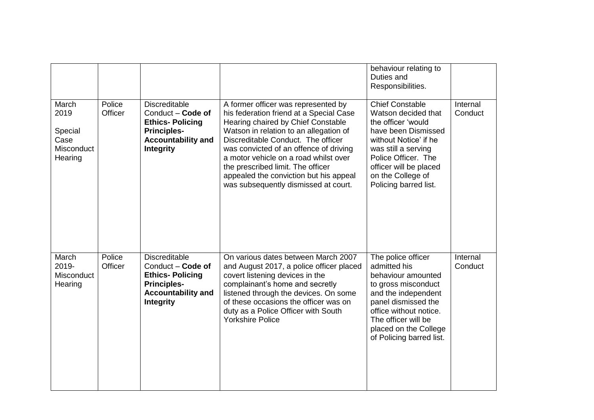|                                                           |                   |                                                                                                                                     |                                                                                                                                                                                                                                                                                                                                                                                                                | behaviour relating to<br>Duties and<br>Responsibilities.                                                                                                                                                                                  |                     |
|-----------------------------------------------------------|-------------------|-------------------------------------------------------------------------------------------------------------------------------------|----------------------------------------------------------------------------------------------------------------------------------------------------------------------------------------------------------------------------------------------------------------------------------------------------------------------------------------------------------------------------------------------------------------|-------------------------------------------------------------------------------------------------------------------------------------------------------------------------------------------------------------------------------------------|---------------------|
| March<br>2019<br>Special<br>Case<br>Misconduct<br>Hearing | Police<br>Officer | <b>Discreditable</b><br>Conduct - Code of<br><b>Ethics-Policing</b><br><b>Principles-</b><br><b>Accountability and</b><br>Integrity | A former officer was represented by<br>his federation friend at a Special Case<br>Hearing chaired by Chief Constable<br>Watson in relation to an allegation of<br>Discreditable Conduct. The officer<br>was convicted of an offence of driving<br>a motor vehicle on a road whilst over<br>the prescribed limit. The officer<br>appealed the conviction but his appeal<br>was subsequently dismissed at court. | <b>Chief Constable</b><br>Watson decided that<br>the officer 'would<br>have been Dismissed<br>without Notice' if he<br>was still a serving<br>Police Officer. The<br>officer will be placed<br>on the College of<br>Policing barred list. | Internal<br>Conduct |
| March<br>2019-<br>Misconduct<br>Hearing                   | Police<br>Officer | <b>Discreditable</b><br>Conduct - Code of<br><b>Ethics-Policing</b><br><b>Principles-</b><br><b>Accountability and</b><br>Integrity | On various dates between March 2007<br>and August 2017, a police officer placed<br>covert listening devices in the<br>complainant's home and secretly<br>listened through the devices. On some<br>of these occasions the officer was on<br>duty as a Police Officer with South<br><b>Yorkshire Police</b>                                                                                                      | The police officer<br>admitted his<br>behaviour amounted<br>to gross misconduct<br>and the independent<br>panel dismissed the<br>office without notice.<br>The officer will be<br>placed on the College<br>of Policing barred list.       | Internal<br>Conduct |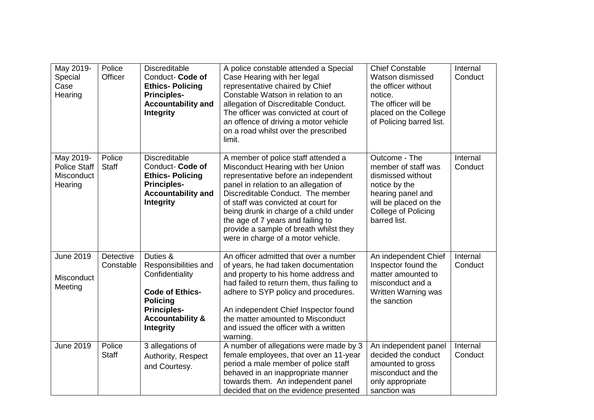| May 2019-<br>Special<br>Case<br>Hearing            | Police<br>Officer             | <b>Discreditable</b><br>Conduct- Code of<br><b>Ethics-Policing</b><br><b>Principles-</b><br><b>Accountability and</b><br><b>Integrity</b>                                 | A police constable attended a Special<br>Case Hearing with her legal<br>representative chaired by Chief<br>Constable Watson in relation to an<br>allegation of Discreditable Conduct.<br>The officer was convicted at court of<br>an offence of driving a motor vehicle<br>on a road whilst over the prescribed<br>limit.                                                                            | <b>Chief Constable</b><br>Watson dismissed<br>the officer without<br>notice.<br>The officer will be<br>placed on the College<br>of Policing barred list.        | Internal<br>Conduct |
|----------------------------------------------------|-------------------------------|---------------------------------------------------------------------------------------------------------------------------------------------------------------------------|------------------------------------------------------------------------------------------------------------------------------------------------------------------------------------------------------------------------------------------------------------------------------------------------------------------------------------------------------------------------------------------------------|-----------------------------------------------------------------------------------------------------------------------------------------------------------------|---------------------|
| May 2019-<br>Police Staff<br>Misconduct<br>Hearing | Police<br><b>Staff</b>        | <b>Discreditable</b><br>Conduct- Code of<br><b>Ethics-Policing</b><br><b>Principles-</b><br><b>Accountability and</b><br><b>Integrity</b>                                 | A member of police staff attended a<br>Misconduct Hearing with her Union<br>representative before an independent<br>panel in relation to an allegation of<br>Discreditable Conduct. The member<br>of staff was convicted at court for<br>being drunk in charge of a child under<br>the age of 7 years and failing to<br>provide a sample of breath whilst they<br>were in charge of a motor vehicle. | Outcome - The<br>member of staff was<br>dismissed without<br>notice by the<br>hearing panel and<br>will be placed on the<br>College of Policing<br>barred list. | Internal<br>Conduct |
| <b>June 2019</b><br>Misconduct<br>Meeting          | <b>Detective</b><br>Constable | Duties &<br>Responsibilities and<br>Confidentiality<br><b>Code of Ethics-</b><br><b>Policing</b><br><b>Principles-</b><br><b>Accountability &amp;</b><br><b>Integrity</b> | An officer admitted that over a number<br>of years, he had taken documentation<br>and property to his home address and<br>had failed to return them, thus failing to<br>adhere to SYP policy and procedures.<br>An independent Chief Inspector found<br>the matter amounted to Misconduct<br>and issued the officer with a written<br>warning.                                                       | An independent Chief<br>Inspector found the<br>matter amounted to<br>misconduct and a<br>Written Warning was<br>the sanction                                    | Internal<br>Conduct |
| <b>June 2019</b>                                   | Police<br><b>Staff</b>        | 3 allegations of<br>Authority, Respect<br>and Courtesy.                                                                                                                   | A number of allegations were made by 3<br>female employees, that over an 11-year<br>period a male member of police staff<br>behaved in an inappropriate manner<br>towards them. An independent panel<br>decided that on the evidence presented                                                                                                                                                       | An independent panel<br>decided the conduct<br>amounted to gross<br>misconduct and the<br>only appropriate<br>sanction was                                      | Internal<br>Conduct |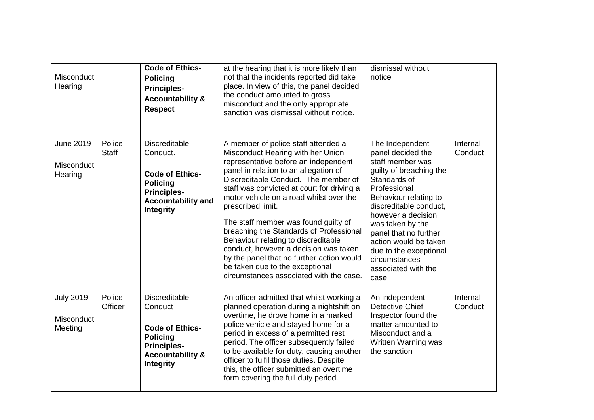| Misconduct<br>Hearing                     |                        | <b>Code of Ethics-</b><br><b>Policing</b><br><b>Principles-</b><br><b>Accountability &amp;</b><br><b>Respect</b>                                      | at the hearing that it is more likely than<br>not that the incidents reported did take<br>place. In view of this, the panel decided<br>the conduct amounted to gross<br>misconduct and the only appropriate<br>sanction was dismissal without notice.                                                                                                                                                                                                                                                                                                                                                         | dismissal without<br>notice                                                                                                                                                                                                                                                                                                                  |                     |
|-------------------------------------------|------------------------|-------------------------------------------------------------------------------------------------------------------------------------------------------|---------------------------------------------------------------------------------------------------------------------------------------------------------------------------------------------------------------------------------------------------------------------------------------------------------------------------------------------------------------------------------------------------------------------------------------------------------------------------------------------------------------------------------------------------------------------------------------------------------------|----------------------------------------------------------------------------------------------------------------------------------------------------------------------------------------------------------------------------------------------------------------------------------------------------------------------------------------------|---------------------|
| <b>June 2019</b><br>Misconduct<br>Hearing | Police<br><b>Staff</b> | <b>Discreditable</b><br>Conduct.<br><b>Code of Ethics-</b><br><b>Policing</b><br><b>Principles-</b><br><b>Accountability and</b><br><b>Integrity</b>  | A member of police staff attended a<br>Misconduct Hearing with her Union<br>representative before an independent<br>panel in relation to an allegation of<br>Discreditable Conduct. The member of<br>staff was convicted at court for driving a<br>motor vehicle on a road whilst over the<br>prescribed limit.<br>The staff member was found guilty of<br>breaching the Standards of Professional<br>Behaviour relating to discreditable<br>conduct, however a decision was taken<br>by the panel that no further action would<br>be taken due to the exceptional<br>circumstances associated with the case. | The Independent<br>panel decided the<br>staff member was<br>guilty of breaching the<br>Standards of<br>Professional<br>Behaviour relating to<br>discreditable conduct,<br>however a decision<br>was taken by the<br>panel that no further<br>action would be taken<br>due to the exceptional<br>circumstances<br>associated with the<br>case | Internal<br>Conduct |
| <b>July 2019</b><br>Misconduct<br>Meeting | Police<br>Officer      | <b>Discreditable</b><br>Conduct<br><b>Code of Ethics-</b><br><b>Policing</b><br><b>Principles-</b><br><b>Accountability &amp;</b><br><b>Integrity</b> | An officer admitted that whilst working a<br>planned operation during a nightshift on<br>overtime, he drove home in a marked<br>police vehicle and stayed home for a<br>period in excess of a permitted rest<br>period. The officer subsequently failed<br>to be available for duty, causing another<br>officer to fulfil those duties. Despite<br>this, the officer submitted an overtime<br>form covering the full duty period.                                                                                                                                                                             | An independent<br><b>Detective Chief</b><br>Inspector found the<br>matter amounted to<br>Misconduct and a<br>Written Warning was<br>the sanction                                                                                                                                                                                             | Internal<br>Conduct |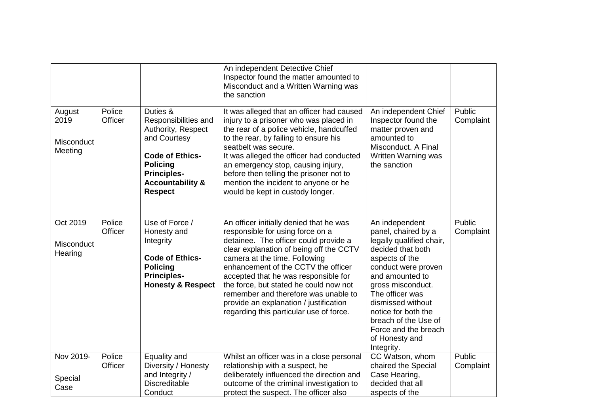|                                         |                   |                                                                                                                                                                                            | An independent Detective Chief<br>Inspector found the matter amounted to<br>Misconduct and a Written Warning was<br>the sanction                                                                                                                                                                                                                                                                                                                       |                                                                                                                                                                                                                                                                                                                        |                            |
|-----------------------------------------|-------------------|--------------------------------------------------------------------------------------------------------------------------------------------------------------------------------------------|--------------------------------------------------------------------------------------------------------------------------------------------------------------------------------------------------------------------------------------------------------------------------------------------------------------------------------------------------------------------------------------------------------------------------------------------------------|------------------------------------------------------------------------------------------------------------------------------------------------------------------------------------------------------------------------------------------------------------------------------------------------------------------------|----------------------------|
| August<br>2019<br>Misconduct<br>Meeting | Police<br>Officer | Duties &<br>Responsibilities and<br>Authority, Respect<br>and Courtesy<br><b>Code of Ethics-</b><br><b>Policing</b><br><b>Principles-</b><br><b>Accountability &amp;</b><br><b>Respect</b> | It was alleged that an officer had caused<br>injury to a prisoner who was placed in<br>the rear of a police vehicle, handcuffed<br>to the rear, by failing to ensure his<br>seatbelt was secure.<br>It was alleged the officer had conducted<br>an emergency stop, causing injury,<br>before then telling the prisoner not to<br>mention the incident to anyone or he<br>would be kept in custody longer.                                              | An independent Chief<br>Inspector found the<br>matter proven and<br>amounted to<br>Misconduct. A Final<br>Written Warning was<br>the sanction                                                                                                                                                                          | Public<br>Complaint        |
| Oct 2019<br>Misconduct<br>Hearing       | Police<br>Officer | Use of Force /<br>Honesty and<br>Integrity<br><b>Code of Ethics-</b><br><b>Policing</b><br><b>Principles-</b><br><b>Honesty &amp; Respect</b>                                              | An officer initially denied that he was<br>responsible for using force on a<br>detainee. The officer could provide a<br>clear explanation of being off the CCTV<br>camera at the time. Following<br>enhancement of the CCTV the officer<br>accepted that he was responsible for<br>the force, but stated he could now not<br>remember and therefore was unable to<br>provide an explanation / justification<br>regarding this particular use of force. | An independent<br>panel, chaired by a<br>legally qualified chair,<br>decided that both<br>aspects of the<br>conduct were proven<br>and amounted to<br>gross misconduct.<br>The officer was<br>dismissed without<br>notice for both the<br>breach of the Use of<br>Force and the breach<br>of Honesty and<br>Integrity. | Public<br>Complaint        |
| Nov 2019-<br>Special<br>Case            | Police<br>Officer | Equality and<br>Diversity / Honesty<br>and Integrity /<br>Discreditable<br>Conduct                                                                                                         | Whilst an officer was in a close personal<br>relationship with a suspect, he<br>deliberately influenced the direction and<br>outcome of the criminal investigation to<br>protect the suspect. The officer also                                                                                                                                                                                                                                         | CC Watson, whom<br>chaired the Special<br>Case Hearing,<br>decided that all<br>aspects of the                                                                                                                                                                                                                          | <b>Public</b><br>Complaint |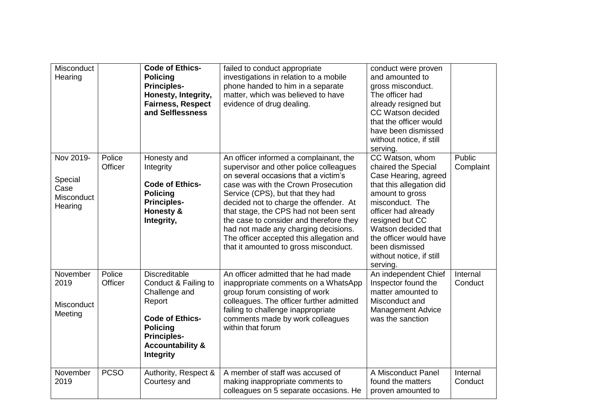| Misconduct<br>Hearing                                        |                   | <b>Code of Ethics-</b><br><b>Policing</b><br><b>Principles-</b><br>Honesty, Integrity,<br><b>Fairness, Respect</b><br>and Selflessness                                                 | failed to conduct appropriate<br>investigations in relation to a mobile<br>phone handed to him in a separate<br>matter, which was believed to have<br>evidence of drug dealing.                                                                                                                                                                                                                                                                                | conduct were proven<br>and amounted to<br>gross misconduct.<br>The officer had<br>already resigned but<br>CC Watson decided<br>that the officer would<br>have been dismissed<br>without notice, if still<br>serving.                                                                  |                     |
|--------------------------------------------------------------|-------------------|----------------------------------------------------------------------------------------------------------------------------------------------------------------------------------------|----------------------------------------------------------------------------------------------------------------------------------------------------------------------------------------------------------------------------------------------------------------------------------------------------------------------------------------------------------------------------------------------------------------------------------------------------------------|---------------------------------------------------------------------------------------------------------------------------------------------------------------------------------------------------------------------------------------------------------------------------------------|---------------------|
| Nov 2019-<br>Special<br>Case<br><b>Misconduct</b><br>Hearing | Police<br>Officer | Honesty and<br>Integrity<br><b>Code of Ethics-</b><br><b>Policing</b><br><b>Principles-</b><br>Honesty &<br>Integrity,                                                                 | An officer informed a complainant, the<br>supervisor and other police colleagues<br>on several occasions that a victim's<br>case was with the Crown Prosecution<br>Service (CPS), but that they had<br>decided not to charge the offender. At<br>that stage, the CPS had not been sent<br>the case to consider and therefore they<br>had not made any charging decisions.<br>The officer accepted this allegation and<br>that it amounted to gross misconduct. | CC Watson, whom<br>chaired the Special<br>Case Hearing, agreed<br>that this allegation did<br>amount to gross<br>misconduct. The<br>officer had already<br>resigned but CC<br>Watson decided that<br>the officer would have<br>been dismissed<br>without notice, if still<br>serving. | Public<br>Complaint |
| November<br>2019<br>Misconduct<br>Meeting                    | Police<br>Officer | <b>Discreditable</b><br>Conduct & Failing to<br>Challenge and<br>Report<br><b>Code of Ethics-</b><br><b>Policing</b><br><b>Principles-</b><br><b>Accountability &amp;</b><br>Integrity | An officer admitted that he had made<br>inappropriate comments on a WhatsApp<br>group forum consisting of work<br>colleagues. The officer further admitted<br>failing to challenge inappropriate<br>comments made by work colleagues<br>within that forum                                                                                                                                                                                                      | An independent Chief<br>Inspector found the<br>matter amounted to<br>Misconduct and<br><b>Management Advice</b><br>was the sanction                                                                                                                                                   | Internal<br>Conduct |
| November<br>2019                                             | <b>PCSO</b>       | Authority, Respect &<br>Courtesy and                                                                                                                                                   | A member of staff was accused of<br>making inappropriate comments to<br>colleagues on 5 separate occasions. He                                                                                                                                                                                                                                                                                                                                                 | A Misconduct Panel<br>found the matters<br>proven amounted to                                                                                                                                                                                                                         | Internal<br>Conduct |